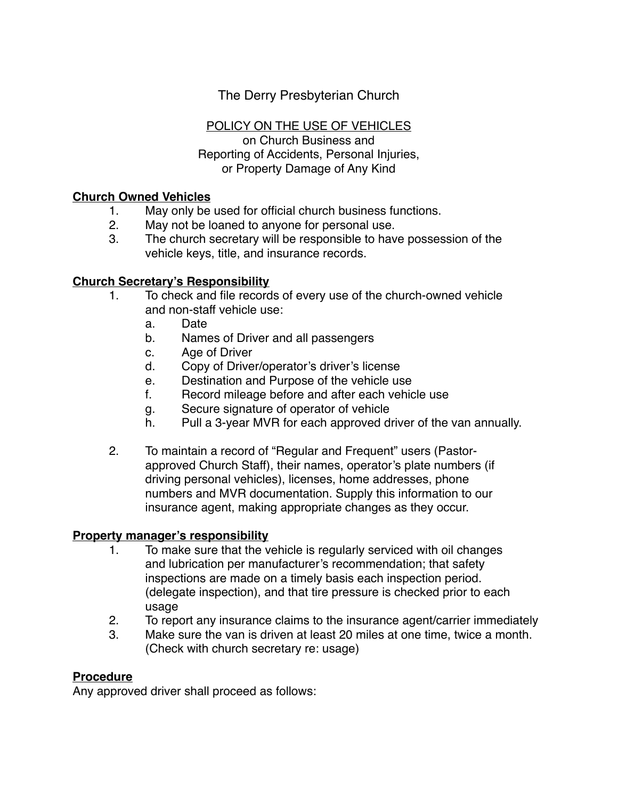The Derry Presbyterian Church

## POLICY ON THE USE OF VEHICLES

on Church Business and Reporting of Accidents, Personal Injuries, or Property Damage of Any Kind

### **Church Owned Vehicles**

- 1. May only be used for official church business functions.
- 2. May not be loaned to anyone for personal use.
- 3. The church secretary will be responsible to have possession of the vehicle keys, title, and insurance records.

### **Church Secretary's Responsibility**

- 1. To check and file records of every use of the church-owned vehicle and non-staff vehicle use:
	- a. Date
	- b. Names of Driver and all passengers
	- c. Age of Driver
	- d. Copy of Driver/operator's driver's license
	- e. Destination and Purpose of the vehicle use
	- f. Record mileage before and after each vehicle use
	- g. Secure signature of operator of vehicle
	- h. Pull a 3-year MVR for each approved driver of the van annually.
- 2. To maintain a record of "Regular and Frequent" users (Pastorapproved Church Staff), their names, operator's plate numbers (if driving personal vehicles), licenses, home addresses, phone numbers and MVR documentation. Supply this information to our insurance agent, making appropriate changes as they occur.

#### **Property manager's responsibility**

- 1. To make sure that the vehicle is regularly serviced with oil changes and lubrication per manufacturer's recommendation; that safety inspections are made on a timely basis each inspection period. (delegate inspection), and that tire pressure is checked prior to each usage
- 2. To report any insurance claims to the insurance agent/carrier immediately
- 3. Make sure the van is driven at least 20 miles at one time, twice a month. (Check with church secretary re: usage)

### **Procedure**

Any approved driver shall proceed as follows: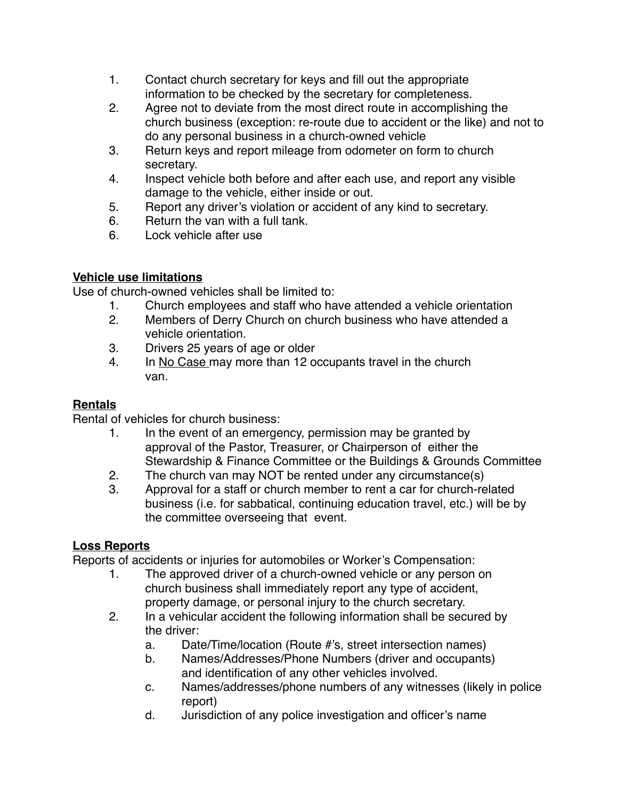- 1. Contact church secretary for keys and fill out the appropriate information to be checked by the secretary for completeness.
- 2. Agree not to deviate from the most direct route in accomplishing the church business (exception: re-route due to accident or the like) and not to do any personal business in a church-owned vehicle
- 3. Return keys and report mileage from odometer on form to church secretary.
- 4. Inspect vehicle both before and after each use, and report any visible damage to the vehicle, either inside or out.
- 5. Report any driver's violation or accident of any kind to secretary.
- 6. Return the van with a full tank.
- 6. Lock vehicle after use

# **Vehicle use limitations**

Use of church-owned vehicles shall be limited to:

- 1. Church employees and staff who have attended a vehicle orientation
- 2. Members of Derry Church on church business who have attended a vehicle orientation.
- 3. Drivers 25 years of age or older
- 4. In No Case may more than 12 occupants travel in the church van.

# **Rentals**

Rental of vehicles for church business:

- 1. In the event of an emergency, permission may be granted by approval of the Pastor, Treasurer, or Chairperson of either the Stewardship & Finance Committee or the Buildings & Grounds Committee
- 2. The church van may NOT be rented under any circumstance(s)
- 3. Approval for a staff or church member to rent a car for church-related business (i.e. for sabbatical, continuing education travel, etc.) will be by the committee overseeing that event.

# **Loss Reports**

Reports of accidents or injuries for automobiles or Worker's Compensation:

- 1. The approved driver of a church-owned vehicle or any person on church business shall immediately report any type of accident, property damage, or personal injury to the church secretary.
- 2. In a vehicular accident the following information shall be secured by the driver:
	- a. Date/Time/location (Route #'s, street intersection names)
	- b. Names/Addresses/Phone Numbers (driver and occupants) and identification of any other vehicles involved.
	- c. Names/addresses/phone numbers of any witnesses (likely in police report)
	- d. Jurisdiction of any police investigation and officer's name